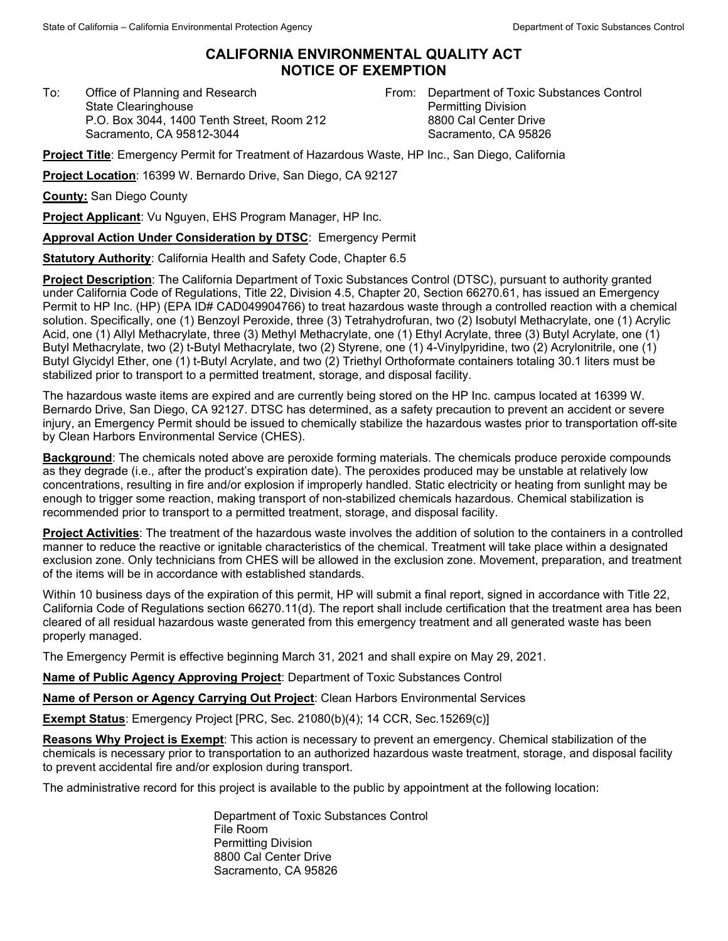## **CALIFORNIA ENVIRONMENTAL QUALITY ACT NOTICE OF EXEMPTION**

To: Office of Planning and Research State Clearinghouse P.O. Box 3044, 1400 Tenth Street, Room 212 Sacramento, CA 95812-3044

From: Department of Toxic Substances Control Permitting Division 8800 Cal Center Drive Sacramento, CA 95826

**Project Title**: Emergency Permit for Treatment of Hazardous Waste, HP Inc., San Diego, California

**Project Location**: 16399 W. Bernardo Drive, San Diego, CA 92127

**County:** San Diego County

**Project Applicant**: Vu Nguyen, EHS Program Manager, HP Inc.

**Approval Action Under Consideration by DTSC**: Emergency Permit

**Statutory Authority**: California Health and Safety Code, Chapter 6.5

**Project Description**: The California Department of Toxic Substances Control (DTSC), pursuant to authority granted under California Code of Regulations, Title 22, Division 4.5, Chapter 20, Section 66270.61, has issued an Emergency Permit to HP Inc. (HP) (EPA ID# CAD049904766) to treat hazardous waste through a controlled reaction with a chemical solution. Specifically, one (1) Benzoyl Peroxide, three (3) Tetrahydrofuran, two (2) Isobutyl Methacrylate, one (1) Acrylic Acid, one (1) Allyl Methacrylate, three (3) Methyl Methacrylate, one (1) Ethyl Acrylate, three (3) Butyl Acrylate, one (1) Butyl Methacrylate, two (2) t-Butyl Methacrylate, two (2) Styrene, one (1) 4-Vinylpyridine, two (2) Acrylonitrile, one (1) Butyl Glycidyl Ether, one (1) t-Butyl Acrylate, and two (2) Triethyl Orthoformate containers totaling 30.1 liters must be stabilized prior to transport to a permitted treatment, storage, and disposal facility.

The hazardous waste items are expired and are currently being stored on the HP Inc. campus located at 16399 W. Bernardo Drive, San Diego, CA 92127. DTSC has determined, as a safety precaution to prevent an accident or severe injury, an Emergency Permit should be issued to chemically stabilize the hazardous wastes prior to transportation off-site by Clean Harbors Environmental Service (CHES).

**Background**: The chemicals noted above are peroxide forming materials. The chemicals produce peroxide compounds as they degrade (i.e., after the product's expiration date). The peroxides produced may be unstable at relatively low concentrations, resulting in fire and/or explosion if improperly handled. Static electricity or heating from sunlight may be enough to trigger some reaction, making transport of non-stabilized chemicals hazardous. Chemical stabilization is recommended prior to transport to a permitted treatment, storage, and disposal facility.

**Project Activities**: The treatment of the hazardous waste involves the addition of solution to the containers in a controlled manner to reduce the reactive or ignitable characteristics of the chemical. Treatment will take place within a designated exclusion zone. Only technicians from CHES will be allowed in the exclusion zone. Movement, preparation, and treatment of the items will be in accordance with established standards.

Within 10 business days of the expiration of this permit, HP will submit a final report, signed in accordance with Title 22, California Code of Regulations section 66270.11(d). The report shall include certification that the treatment area has been cleared of all residual hazardous waste generated from this emergency treatment and all generated waste has been properly managed.

The Emergency Permit is effective beginning March 31, 2021 and shall expire on May 29, 2021.

**Name of Public Agency Approving Project**: Department of Toxic Substances Control

**Name of Person or Agency Carrying Out Project**: Clean Harbors Environmental Services

**Exempt Status**: Emergency Project [PRC, Sec. 21080(b)(4); 14 CCR, Sec.15269(c)]

**Reasons Why Project is Exempt**: This action is necessary to prevent an emergency. Chemical stabilization of the chemicals is necessary prior to transportation to an authorized hazardous waste treatment, storage, and disposal facility to prevent accidental fire and/or explosion during transport.

The administrative record for this project is available to the public by appointment at the following location:

Department of Toxic Substances Control File Room Permitting Division 8800 Cal Center Drive Sacramento, CA 95826